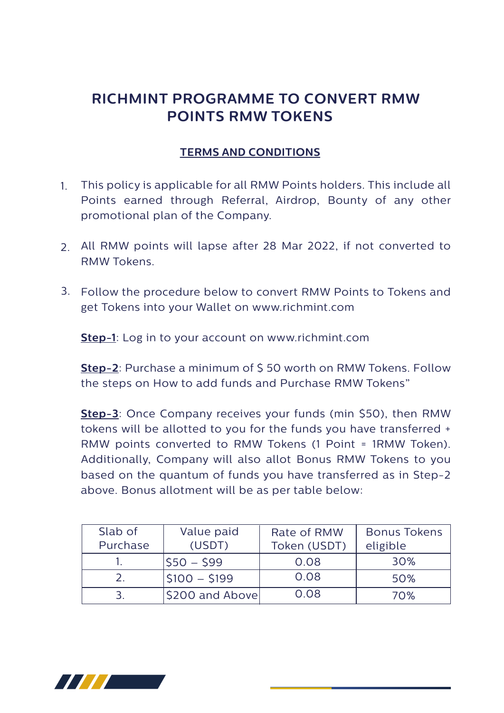## **RICHMINT PROGRAMME TO CONVERT RMW POINTS RMW TOKENS**

## **TERMS AND CONDITIONS**

- This policy is applicable for all RMW Points holders. This include all Points earned through Referral, Airdrop, Bounty of any other promotional plan of the Company. 1.
- All RMW points will lapse after 28 Mar 2022, if not converted to 2. RMW Tokens.
- Follow the procedure below to convert RMW Points to Tokens and 3. get Tokens into your Wallet on www.richmint.com

**Step-1**: Log in to your account on www.richmint.com

**Step-2**: Purchase a minimum of \$ 50 worth on RMW Tokens. Follow the steps on How to add funds and Purchase RMW Tokens"

**Step-3**: Once Company receives your funds (min \$50), then RMW tokens will be allotted to you for the funds you have transferred + RMW points converted to RMW Tokens (1 Point = 1RMW Token). Additionally, Company will also allot Bonus RMW Tokens to you based on the quantum of funds you have transferred as in Step-2 above. Bonus allotment will be as per table below:

| Slab of<br>Purchase        | Value paid<br>(USDT)   | Rate of RMW<br>Token (USDT) | <b>Bonus Tokens</b><br>eligible |
|----------------------------|------------------------|-----------------------------|---------------------------------|
|                            | IS50 – S99             | 0.08                        | 30%                             |
| $\mathcal{L}_{\mathbb{R}}$ | $ $100 - $199$         | 0.08                        | 50%                             |
|                            | <b>S200 and Abovel</b> | 0.08                        | 70%                             |